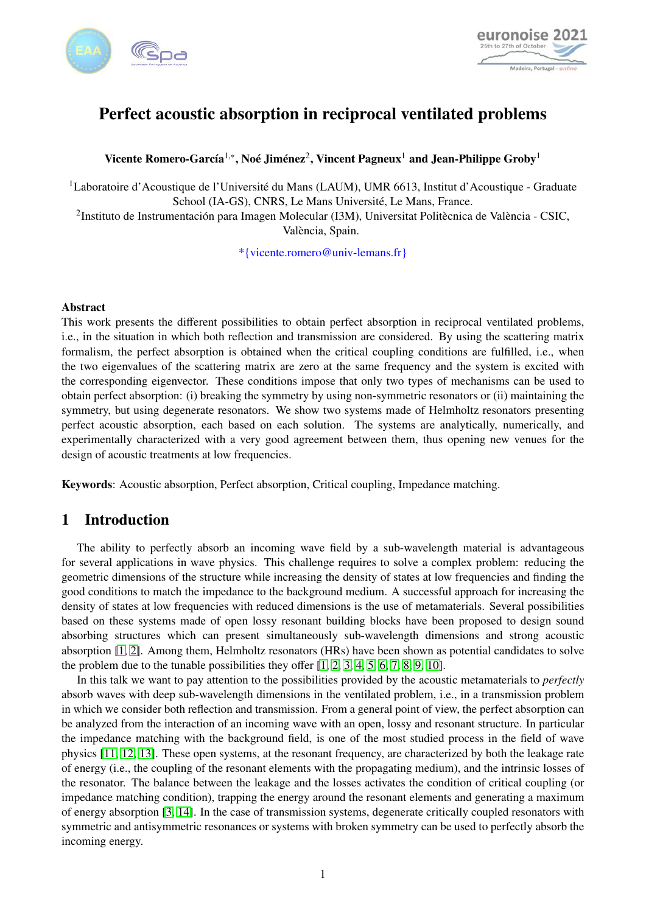



# Perfect acoustic absorption in reciprocal ventilated problems

Vicente Romero-García<sup>1,</sup>\*, Noé Jiménez<sup>2</sup>, Vincent Pagneux<sup>1</sup> and Jean-Philippe Groby<sup>1</sup>

<sup>1</sup>Laboratoire d'Acoustique de l'Université du Mans (LAUM), UMR 6613, Institut d'Acoustique - Graduate School (IA-GS), CNRS, Le Mans Université, Le Mans, France.

2 Instituto de Instrumentación para Imagen Molecular (I3M), Universitat Politècnica de València - CSIC, València, Spain.

\*{vicente.romero@univ-lemans.fr}

#### Abstract

This work presents the different possibilities to obtain perfect absorption in reciprocal ventilated problems, i.e., in the situation in which both reflection and transmission are considered. By using the scattering matrix formalism, the perfect absorption is obtained when the critical coupling conditions are fulfilled, i.e., when the two eigenvalues of the scattering matrix are zero at the same frequency and the system is excited with the corresponding eigenvector. These conditions impose that only two types of mechanisms can be used to obtain perfect absorption: (i) breaking the symmetry by using non-symmetric resonators or (ii) maintaining the symmetry, but using degenerate resonators. We show two systems made of Helmholtz resonators presenting perfect acoustic absorption, each based on each solution. The systems are analytically, numerically, and experimentally characterized with a very good agreement between them, thus opening new venues for the design of acoustic treatments at low frequencies.

Keywords: Acoustic absorption, Perfect absorption, Critical coupling, Impedance matching.

#### 1 Introduction

The ability to perfectly absorb an incoming wave field by a sub-wavelength material is advantageous for several applications in wave physics. This challenge requires to solve a complex problem: reducing the geometric dimensions of the structure while increasing the density of states at low frequencies and finding the good conditions to match the impedance to the background medium. A successful approach for increasing the density of states at low frequencies with reduced dimensions is the use of metamaterials. Several possibilities based on these systems made of open lossy resonant building blocks have been proposed to design sound absorbing structures which can present simultaneously sub-wavelength dimensions and strong acoustic absorption [\[1,](#page-5-0) [2\]](#page-5-1). Among them, Helmholtz resonators (HRs) have been shown as potential candidates to solve the problem due to the tunable possibilities they offer  $[1, 2, 3, 4, 5, 6, 7, 8, 9, 10]$  $[1, 2, 3, 4, 5, 6, 7, 8, 9, 10]$  $[1, 2, 3, 4, 5, 6, 7, 8, 9, 10]$  $[1, 2, 3, 4, 5, 6, 7, 8, 9, 10]$  $[1, 2, 3, 4, 5, 6, 7, 8, 9, 10]$  $[1, 2, 3, 4, 5, 6, 7, 8, 9, 10]$  $[1, 2, 3, 4, 5, 6, 7, 8, 9, 10]$  $[1, 2, 3, 4, 5, 6, 7, 8, 9, 10]$  $[1, 2, 3, 4, 5, 6, 7, 8, 9, 10]$  $[1, 2, 3, 4, 5, 6, 7, 8, 9, 10]$ .

In this talk we want to pay attention to the possibilities provided by the acoustic metamaterials to *perfectly* absorb waves with deep sub-wavelength dimensions in the ventilated problem, i.e., in a transmission problem in which we consider both reflection and transmission. From a general point of view, the perfect absorption can be analyzed from the interaction of an incoming wave with an open, lossy and resonant structure. In particular the impedance matching with the background field, is one of the most studied process in the field of wave physics [\[11,](#page-6-1) [12,](#page-6-2) [13\]](#page-6-3). These open systems, at the resonant frequency, are characterized by both the leakage rate of energy (i.e., the coupling of the resonant elements with the propagating medium), and the intrinsic losses of the resonator. The balance between the leakage and the losses activates the condition of critical coupling (or impedance matching condition), trapping the energy around the resonant elements and generating a maximum of energy absorption [\[3,](#page-5-2) [14\]](#page-6-4). In the case of transmission systems, degenerate critically coupled resonators with symmetric and antisymmetric resonances or systems with broken symmetry can be used to perfectly absorb the incoming energy.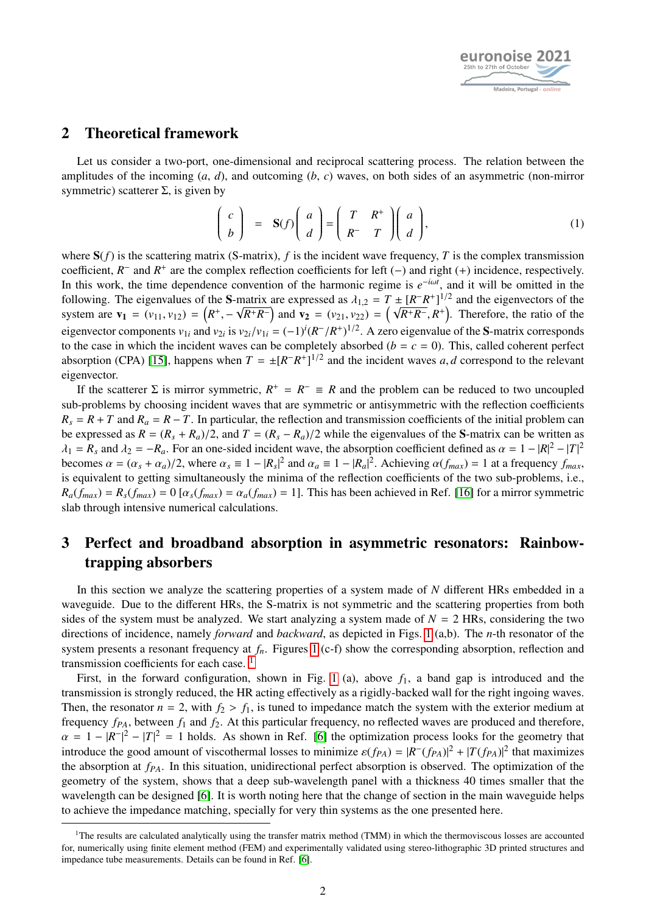

#### 2 Theoretical framework

Let us consider a two-port, one-dimensional and reciprocal scattering process. The relation between the amplitudes of the incoming (*a*, *d*), and outcoming (*b*, *c*) waves, on both sides of an asymmetric (non-mirror symmetric) scatterer  $\Sigma$ , is given by

$$
\begin{pmatrix} c \\ b \end{pmatrix} = \mathbf{S}(f) \begin{pmatrix} a \\ d \end{pmatrix} = \begin{pmatrix} T & R^+ \\ R^- & T \end{pmatrix} \begin{pmatrix} a \\ d \end{pmatrix}, \tag{1}
$$

where  $S(f)$  is the scattering matrix (S-matrix), f is the incident wave frequency, T is the complex transmission coefficient,  $R^-$  and  $R^+$  are the complex reflection coefficients for left (−) and right (+) incidence, respectively. In this work, the time dependence convention of the harmonic regime is  $e^{-i\omega t}$ , and it will be omitted in the following. The eigenvalues of the S-matrix are expressed as  $\lambda_{1,2} = T \pm [R-R^+]^{1/2}$  and the eigenvectors of the system are  $V_L = (V_L - V_R) = (R^+ - \sqrt{R^+R^-})$  and  $V_R = (V_R - V_R) = (\sqrt{R^+R^-}R^+)$  Therefore, the ratio of the system are  $\mathbf{v}_1 = (v_{11}, v_{12}) = (R^+, -\sqrt{R^+R^-})$  and  $\mathbf{v}_2 = (v_{21}, v_{22}) =$ l ±<br>( √  $\overline{R^+R^-}$ ,  $R^+$ ). Therefore, the ratio of the eigenvector components  $v_{1i}$  and  $v_{2i}$  is  $v_{2i}/v_{1i} = (-1)^i (R^-/R^+)^{1/2}$ . A zero eigenvalue of the S-matrix corresponds<br>to the case in which the incident waves can be completely absorbed  $(h - c - 0)$ . This, called cohere to the case in which the incident waves can be completely absorbed ( $b = c = 0$ ). This, called coherent perfect absorption (CPA) [\[15\]](#page-6-5), happens when  $T = \pm [R^R - R^+]^{1/2}$  and the incident waves *a*, *d* correspond to the relevant eigenvector.

If the scatterer  $\Sigma$  is mirror symmetric,  $R^+ = R^- \equiv R$  and the problem can be reduced to two uncoupled sub-problems by choosing incident waves that are symmetric or antisymmetric with the reflection coefficients  $R_s = R + T$  and  $R_a = R - T$ . In particular, the reflection and transmission coefficients of the initial problem can be expressed as  $R = (R_s + R_a)/2$ , and  $T = (R_s - R_a)/2$  while the eigenvalues of the S-matrix can be written as  $\lambda_1 = R_s$  and  $\lambda_2 = -R_a$ . For an one-sided incident wave, the absorption coefficient defined as  $\alpha = 1 - |R|^2 - |T|^2$ <br>becomes  $\alpha = (\alpha + \alpha)/2$  where  $\alpha = 1 - |R|^2$  and  $\alpha = 1 - |R|^2$ . Achieving  $\alpha(f) = 1$  at a frequency f becomes  $\alpha = (\alpha_s + \alpha_a)/2$ , where  $\alpha_s \equiv 1 - |R_s|^2$  and  $\alpha_a \equiv 1 - |R_a|^2$ . Achieving  $\alpha(f_{max}) = 1$  at a frequency  $f_{max}$ , is equivalent to getting simultaneously the minima of the reflection coefficients of the two sub problems i.e is equivalent to getting simultaneously the minima of the reflection coefficients of the two sub-problems, i.e.,  $R_a(f_{max}) = R_s(f_{max}) = 0$  [ $\alpha_s(f_{max}) = \alpha_a(f_{max}) = 1$ ]. This has been achieved in Ref. [\[16\]](#page-6-6) for a mirror symmetric slab through intensive numerical calculations.

## 3 Perfect and broadband absorption in asymmetric resonators: Rainbowtrapping absorbers

In this section we analyze the scattering properties of a system made of *N* different HRs embedded in a waveguide. Due to the different HRs, the S-matrix is not symmetric and the scattering properties from both sides of the system must be analyzed. We start analyzing a system made of  $N = 2$  HRs, considering the two directions of incidence, namely *forward* and *backward*, as depicted in Figs. [1](#page-2-0) (a,b). The *n*-th resonator of the system presents a resonant frequency at *fn*. Figures [1](#page-2-0) (c-f) show the corresponding absorption, reflection and transmission coefficients for each case.<sup>[1](#page-1-0)</sup>

First, in the forward configuration, shown in Fig. [1](#page-2-0) (a), above  $f_1$ , a band gap is introduced and the transmission is strongly reduced, the HR acting effectively as a rigidly-backed wall for the right ingoing waves. Then, the resonator  $n = 2$ , with  $f_2 > f_1$ , is tuned to impedance match the system with the exterior medium at frequency *fPA*, between *f*<sup>1</sup> and *f*2. At this particular frequency, no reflected waves are produced and therefore,  $\alpha = 1 - |R^{-}|^2 - |T|^2 = 1$  holds. As shown in Ref. [\[6\]](#page-5-5) the optimization process looks for the geometry that introduce the good amount of viscothermal losses to minimize  $g(f_{\infty}) = |R^{-}(f_{\infty})|^2 + |T(f_{\infty})|^2$  that maximizes introduce the good amount of viscothermal losses to minimize  $\varepsilon(f_{PA}) = |R^-(f_{PA})|^2 + |T(f_{PA})|^2$  that maximizes the absorption at  $f_{\text{R}}$ . In this situation unidirectional perfect absorption is observed. The optimization of t the absorption at *fPA*. In this situation, unidirectional perfect absorption is observed. The optimization of the geometry of the system, shows that a deep sub-wavelength panel with a thickness 40 times smaller that the wavelength can be designed [\[6\]](#page-5-5). It is worth noting here that the change of section in the main waveguide helps to achieve the impedance matching, specially for very thin systems as the one presented here.

<span id="page-1-0"></span><sup>&</sup>lt;sup>1</sup>The results are calculated analytically using the transfer matrix method (TMM) in which the thermoviscous losses are accounted for, numerically using finite element method (FEM) and experimentally validated using stereo-lithographic 3D printed structures and impedance tube measurements. Details can be found in Ref. [\[6\]](#page-5-5).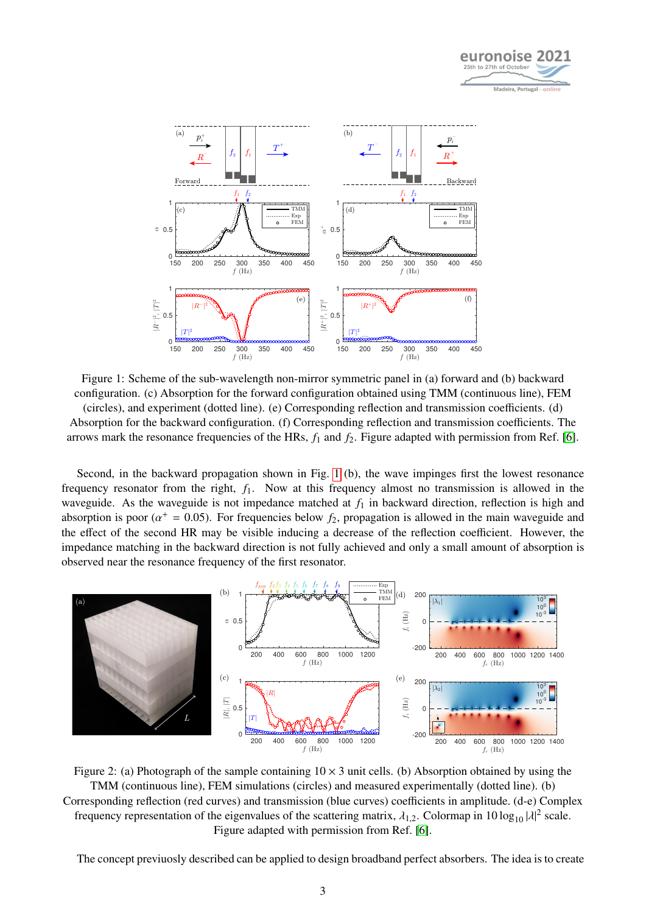

<span id="page-2-0"></span>

Figure 1: Scheme of the sub-wavelength non-mirror symmetric panel in (a) forward and (b) backward configuration. (c) Absorption for the forward configuration obtained using TMM (continuous line), FEM (circles), and experiment (dotted line). (e) Corresponding reflection and transmission coefficients. (d) Absorption for the backward configuration. (f) Corresponding reflection and transmission coefficients. The arrows mark the resonance frequencies of the HRs, *f*<sup>1</sup> and *f*2. Figure adapted with permission from Ref. [\[6\]](#page-5-5).

Second, in the backward propagation shown in Fig. [1](#page-2-0) (b), the wave impinges first the lowest resonance frequency resonator from the right, *f*1. Now at this frequency almost no transmission is allowed in the waveguide. As the waveguide is not impedance matched at  $f_1$  in backward direction, reflection is high and absorption is poor ( $\alpha^+ = 0.05$ ). For frequencies below  $f_2$ , propagation is allowed in the main waveguide and<br>the effect of the second HR may be visible inducing a decrease of the reflection coefficient. However, the the effect of the second HR may be visible inducing a decrease of the reflection coefficient. However, the impedance matching in the backward direction is not fully achieved and only a small amount of absorption is observed near the resonance frequency of the first resonator.

<span id="page-2-1"></span>

Figure 2: (a) Photograph of the sample containing  $10 \times 3$  unit cells. (b) Absorption obtained by using the TMM (continuous line), FEM simulations (circles) and measured experimentally (dotted line). (b) Corresponding reflection (red curves) and transmission (blue curves) coefficients in amplitude. (d-e) Complex frequency representation of the eigenvalues of the scattering matrix,  $\lambda_{1,2}$ . Colormap in 10 log<sub>10</sub>  $|\lambda|^2$  scale. Figure adapted with permission from Ref. [\[6\]](#page-5-5).

The concept previuosly described can be applied to design broadband perfect absorbers. The idea is to create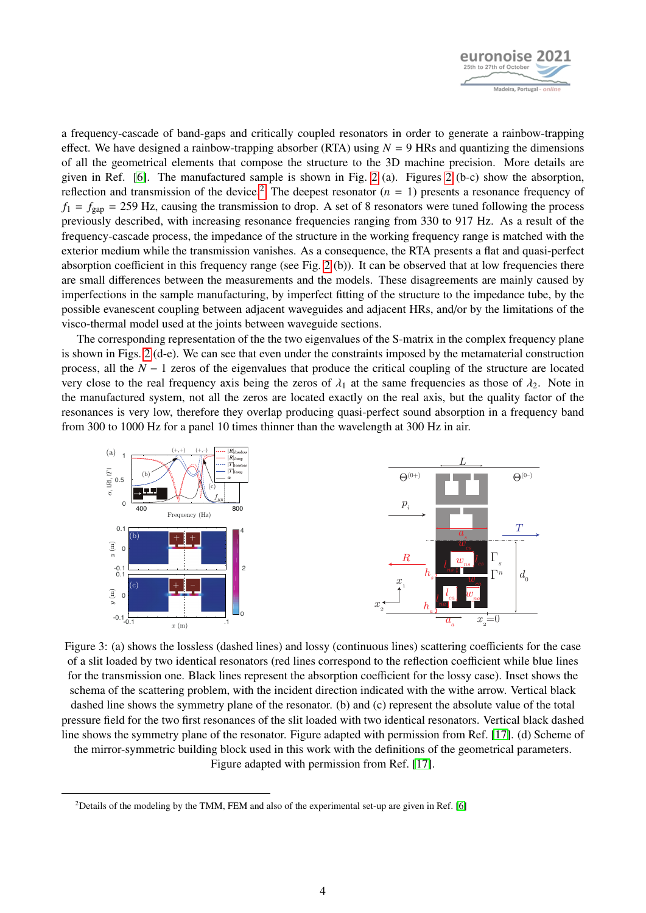

a frequency-cascade of band-gaps and critically coupled resonators in order to generate a rainbow-trapping effect. We have designed a rainbow-trapping absorber (RTA) using  $N = 9$  HRs and quantizing the dimensions of all the geometrical elements that compose the structure to the 3D machine precision. More details are given in Ref. [\[6\]](#page-5-5). The manufactured sample is shown in Fig. [2](#page-2-1) (a). Figures [2](#page-2-1) (b-c) show the absorption, reflection and transmission of the device.<sup>[2](#page-3-0)</sup> The deepest resonator  $(n = 1)$  presents a resonance frequency of  $f_1 = f_{\text{gap}} = 259$  Hz, causing the transmission to drop. A set of 8 resonators were tuned following the process previously described, with increasing resonance frequencies ranging from 330 to 917 Hz. As a result of the frequency-cascade process, the impedance of the structure in the working frequency range is matched with the exterior medium while the transmission vanishes. As a consequence, the RTA presents a flat and quasi-perfect absorption coefficient in this frequency range (see Fig. [2](#page-2-1) (b)). It can be observed that at low frequencies there are small differences between the measurements and the models. These disagreements are mainly caused by imperfections in the sample manufacturing, by imperfect fitting of the structure to the impedance tube, by the possible evanescent coupling between adjacent waveguides and adjacent HRs, and/or by the limitations of the visco-thermal model used at the joints between waveguide sections.

The corresponding representation of the the two eigenvalues of the S-matrix in the complex frequency plane is shown in Figs. [2](#page-2-1) (d-e). We can see that even under the constraints imposed by the metamaterial construction process, all the *N* − 1 zeros of the eigenvalues that produce the critical coupling of the structure are located very close to the real frequency axis being the zeros of  $\lambda_1$  at the same frequencies as those of  $\lambda_2$ . Note in the manufactured system, not all the zeros are located exactly on the real axis, but the quality factor of the resonances is very low, therefore they overlap producing quasi-perfect sound absorption in a frequency band from 300 to 1000 Hz for a panel 10 times thinner than the wavelength at 300 Hz in air.

<span id="page-3-1"></span>

Figure 3: (a) shows the lossless (dashed lines) and lossy (continuous lines) scattering coefficients for the case of a slit loaded by two identical resonators (red lines correspond to the reflection coefficient while blue lines for the transmission one. Black lines represent the absorption coefficient for the lossy case). Inset shows the schema of the scattering problem, with the incident direction indicated with the withe arrow. Vertical black dashed line shows the symmetry plane of the resonator. (b) and (c) represent the absolute value of the total pressure field for the two first resonances of the slit loaded with two identical resonators. Vertical black dashed line shows the symmetry plane of the resonator. Figure adapted with permission from Ref. [\[17\]](#page-6-7). (d) Scheme of the mirror-symmetric building block used in this work with the definitions of the geometrical parameters. Figure adapted with permission from Ref. [\[17\]](#page-6-7).

<span id="page-3-0"></span><sup>&</sup>lt;sup>2</sup>Details of the modeling by the TMM, FEM and also of the experimental set-up are given in Ref. [\[6\]](#page-5-5)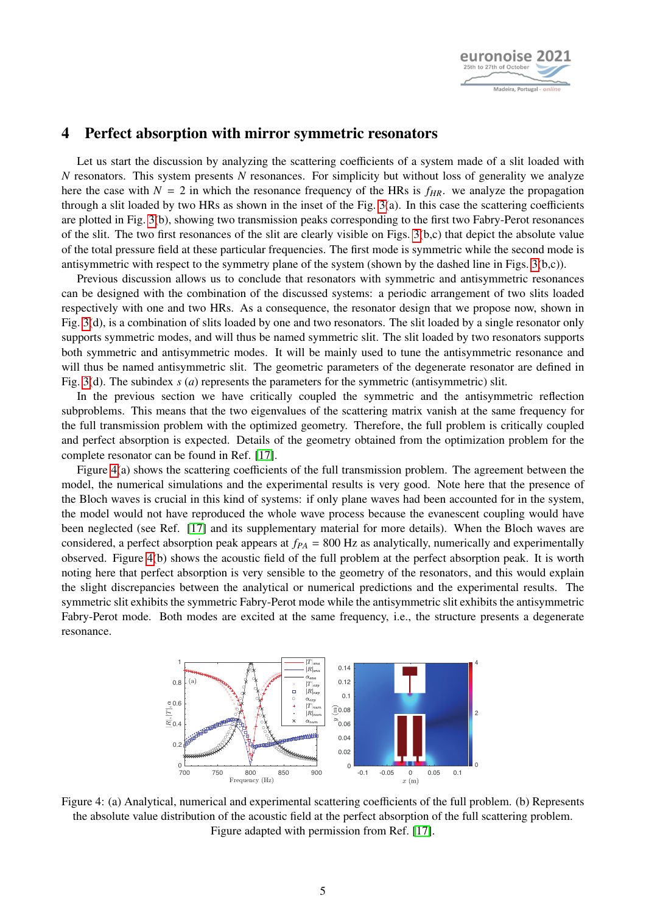

#### 4 Perfect absorption with mirror symmetric resonators

Let us start the discussion by analyzing the scattering coefficients of a system made of a slit loaded with *N* resonators. This system presents *N* resonances. For simplicity but without loss of generality we analyze here the case with  $N = 2$  in which the resonance frequency of the HRs is  $f_{HR}$ , we analyze the propagation through a slit loaded by two HRs as shown in the inset of the Fig. [3\(](#page-3-1)a). In this case the scattering coefficients are plotted in Fig. [3\(](#page-3-1)b), showing two transmission peaks corresponding to the first two Fabry-Perot resonances of the slit. The two first resonances of the slit are clearly visible on Figs. [3\(](#page-3-1)b,c) that depict the absolute value of the total pressure field at these particular frequencies. The first mode is symmetric while the second mode is antisymmetric with respect to the symmetry plane of the system (shown by the dashed line in Figs.  $3(b,c)$ ).

Previous discussion allows us to conclude that resonators with symmetric and antisymmetric resonances can be designed with the combination of the discussed systems: a periodic arrangement of two slits loaded respectively with one and two HRs. As a consequence, the resonator design that we propose now, shown in Fig. [3\(](#page-3-1)d), is a combination of slits loaded by one and two resonators. The slit loaded by a single resonator only supports symmetric modes, and will thus be named symmetric slit. The slit loaded by two resonators supports both symmetric and antisymmetric modes. It will be mainly used to tune the antisymmetric resonance and will thus be named antisymmetric slit. The geometric parameters of the degenerate resonator are defined in Fig. [3\(](#page-3-1)d). The subindex *s* (*a*) represents the parameters for the symmetric (antisymmetric) slit.

In the previous section we have critically coupled the symmetric and the antisymmetric reflection subproblems. This means that the two eigenvalues of the scattering matrix vanish at the same frequency for the full transmission problem with the optimized geometry. Therefore, the full problem is critically coupled and perfect absorption is expected. Details of the geometry obtained from the optimization problem for the complete resonator can be found in Ref. [\[17\]](#page-6-7).

Figure [4\(](#page-4-0)a) shows the scattering coefficients of the full transmission problem. The agreement between the model, the numerical simulations and the experimental results is very good. Note here that the presence of the Bloch waves is crucial in this kind of systems: if only plane waves had been accounted for in the system, the model would not have reproduced the whole wave process because the evanescent coupling would have been neglected (see Ref. [\[17\]](#page-6-7) and its supplementary material for more details). When the Bloch waves are considered, a perfect absorption peak appears at *fPA* = 800 Hz as analytically, numerically and experimentally observed. Figure [4\(](#page-4-0)b) shows the acoustic field of the full problem at the perfect absorption peak. It is worth noting here that perfect absorption is very sensible to the geometry of the resonators, and this would explain the slight discrepancies between the analytical or numerical predictions and the experimental results. The symmetric slit exhibits the symmetric Fabry-Perot mode while the antisymmetric slit exhibits the antisymmetric Fabry-Perot mode. Both modes are excited at the same frequency, i.e., the structure presents a degenerate resonance.

<span id="page-4-0"></span>

Figure 4: (a) Analytical, numerical and experimental scattering coefficients of the full problem. (b) Represents the absolute value distribution of the acoustic field at the perfect absorption of the full scattering problem. Figure adapted with permission from Ref. [\[17\]](#page-6-7).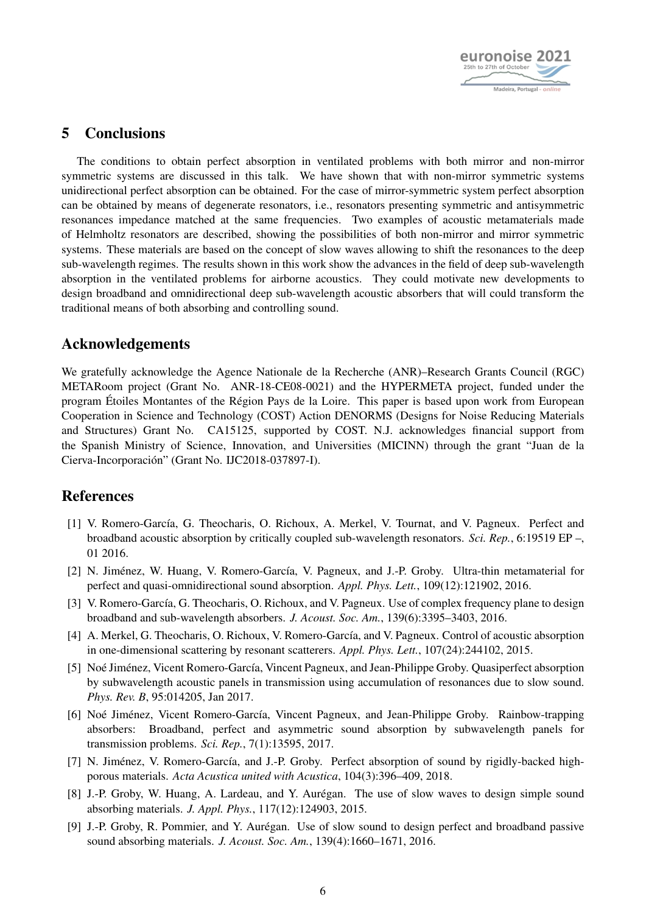

### 5 Conclusions

The conditions to obtain perfect absorption in ventilated problems with both mirror and non-mirror symmetric systems are discussed in this talk. We have shown that with non-mirror symmetric systems unidirectional perfect absorption can be obtained. For the case of mirror-symmetric system perfect absorption can be obtained by means of degenerate resonators, i.e., resonators presenting symmetric and antisymmetric resonances impedance matched at the same frequencies. Two examples of acoustic metamaterials made of Helmholtz resonators are described, showing the possibilities of both non-mirror and mirror symmetric systems. These materials are based on the concept of slow waves allowing to shift the resonances to the deep sub-wavelength regimes. The results shown in this work show the advances in the field of deep sub-wavelength absorption in the ventilated problems for airborne acoustics. They could motivate new developments to design broadband and omnidirectional deep sub-wavelength acoustic absorbers that will could transform the traditional means of both absorbing and controlling sound.

### Acknowledgements

We gratefully acknowledge the Agence Nationale de la Recherche (ANR)–Research Grants Council (RGC) METARoom project (Grant No. ANR-18-CE08-0021) and the HYPERMETA project, funded under the program Étoiles Montantes of the Région Pays de la Loire. This paper is based upon work from European Cooperation in Science and Technology (COST) Action DENORMS (Designs for Noise Reducing Materials and Structures) Grant No. CA15125, supported by COST. N.J. acknowledges financial support from the Spanish Ministry of Science, Innovation, and Universities (MICINN) through the grant "Juan de la Cierva-Incorporación" (Grant No. IJC2018-037897-I).

### **References**

- <span id="page-5-0"></span>[1] V. Romero-García, G. Theocharis, O. Richoux, A. Merkel, V. Tournat, and V. Pagneux. Perfect and broadband acoustic absorption by critically coupled sub-wavelength resonators. *Sci. Rep.*, 6:19519 EP –, 01 2016.
- <span id="page-5-1"></span>[2] N. Jiménez, W. Huang, V. Romero-García, V. Pagneux, and J.-P. Groby. Ultra-thin metamaterial for perfect and quasi-omnidirectional sound absorption. *Appl. Phys. Lett.*, 109(12):121902, 2016.
- <span id="page-5-2"></span>[3] V. Romero-García, G. Theocharis, O. Richoux, and V. Pagneux. Use of complex frequency plane to design broadband and sub-wavelength absorbers. *J. Acoust. Soc. Am.*, 139(6):3395–3403, 2016.
- <span id="page-5-3"></span>[4] A. Merkel, G. Theocharis, O. Richoux, V. Romero-García, and V. Pagneux. Control of acoustic absorption in one-dimensional scattering by resonant scatterers. *Appl. Phys. Lett.*, 107(24):244102, 2015.
- <span id="page-5-4"></span>[5] Noé Jiménez, Vicent Romero-García, Vincent Pagneux, and Jean-Philippe Groby. Quasiperfect absorption by subwavelength acoustic panels in transmission using accumulation of resonances due to slow sound. *Phys. Rev. B*, 95:014205, Jan 2017.
- <span id="page-5-5"></span>[6] Noé Jiménez, Vicent Romero-García, Vincent Pagneux, and Jean-Philippe Groby. Rainbow-trapping absorbers: Broadband, perfect and asymmetric sound absorption by subwavelength panels for transmission problems. *Sci. Rep.*, 7(1):13595, 2017.
- <span id="page-5-6"></span>[7] N. Jiménez, V. Romero-García, and J.-P. Groby. Perfect absorption of sound by rigidly-backed highporous materials. *Acta Acustica united with Acustica*, 104(3):396–409, 2018.
- <span id="page-5-7"></span>[8] J.-P. Groby, W. Huang, A. Lardeau, and Y. Aurégan. The use of slow waves to design simple sound absorbing materials. *J. Appl. Phys.*, 117(12):124903, 2015.
- <span id="page-5-8"></span>[9] J.-P. Groby, R. Pommier, and Y. Aurégan. Use of slow sound to design perfect and broadband passive sound absorbing materials. *J. Acoust. Soc. Am.*, 139(4):1660–1671, 2016.